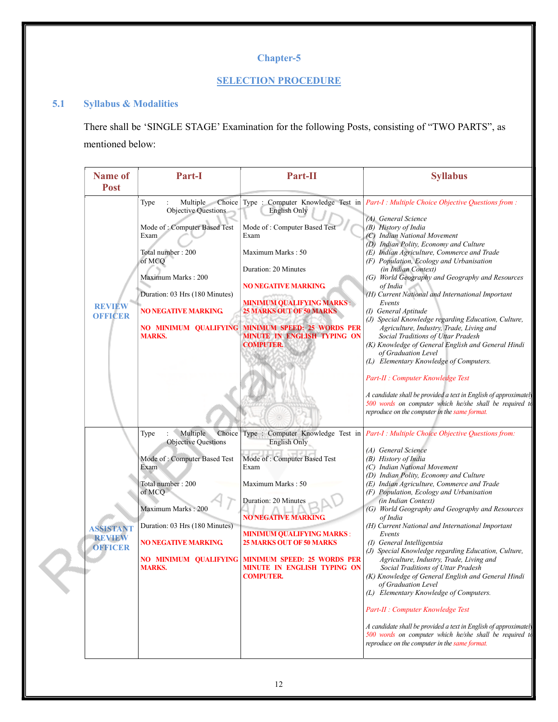# Chapter-5

### **SELECTION PROCEDURE**

# 5.1 Syllabus & Modalities

There shall be 'SINGLE STAGE' Examination for the following Posts, consisting of "TWO PARTS", as mentioned below: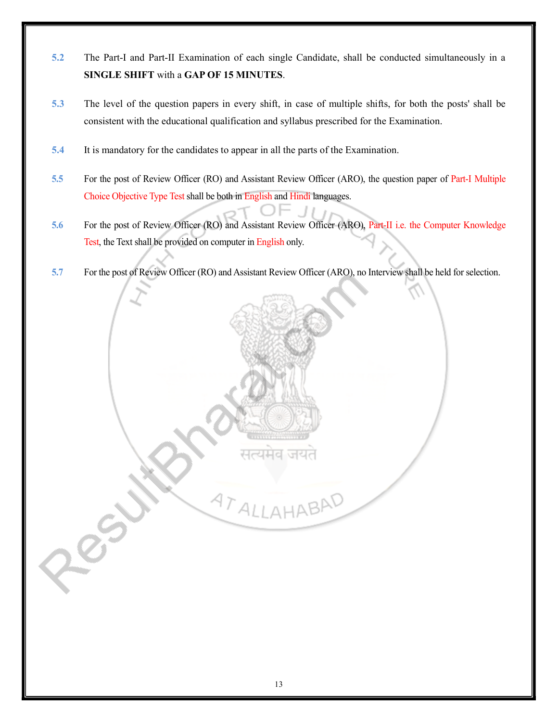- 5.2 The Part-I and Part-II Examination of each single Candidate, shall be conducted simultaneously in a SINGLE SHIFT with a GAP OF 15 MINUTES.
- 5.3 The level of the question papers in every shift, in case of multiple shifts, for both the posts' shall be consistent with the educational qualification and syllabus prescribed for the Examination.
- 5.4 It is mandatory for the candidates to appear in all the parts of the Examination.
- 5.5 For the post of Review Officer (RO) and Assistant Review Officer (ARO), the question paper of Part-I Multiple Choice Objective Type Test shall be both in English and Hindi languages.
- 5.6 For the post of Review Officer (RO) and Assistant Review Officer (ARO), Part-II i.e. the Computer Knowledge Test, the Text shall be provided on computer in English only.
- 5.7 For the post of Review Officer (RO) and Assistant Review Officer (ARO), no Interview shall be held for selection.

**ATALLAHABAD**